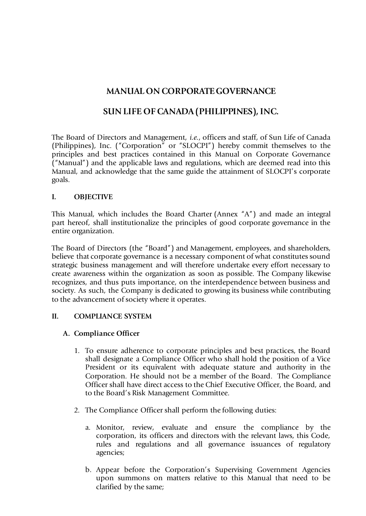# **MANUAL ON CORPORATE GOVERNANCE**

# **SUN LIFE OF CANADA (PHILIPPINES), INC.**

The Board of Directors and Management, *i.e.*, officers and staff, of Sun Life of Canada (Philippines), Inc. ("Corporation" or "SLOCPI") hereby commit themselves to the principles and best practices contained in this Manual on Corporate Governance ("Manual") and the applicable laws and regulations, which are deemed read into this Manual, and acknowledge that the same guide the attainment of SLOCPI's corporate goals.

#### **I. OBJECTIVE**

This Manual, which includes the Board Charter (Annex "A") and made an integral part hereof, shall institutionalize the principles of good corporate governance in the entire organization.

The Board of Directors (the "Board") and Management, employees, and shareholders, believe that corporate governance is a necessary component of what constitutes sound strategic business management and will therefore undertake every effort necessary to create awareness within the organization as soon as possible. The Company likewise recognizes, and thus puts importance, on the interdependence between business and society. As such, the Company is dedicated to growing its business while contributing to the advancement of society where it operates.

#### **II. COMPLIANCE SYSTEM**

### **A. Compliance Officer**

- 1. To ensure adherence to corporate principles and best practices, the Board shall designate a Compliance Officer who shall hold the position of a Vice President or its equivalent with adequate stature and authority in the Corporation. He should not be a member of the Board. The Compliance Officer shall have direct access to the Chief Executive Officer, the Board, and to the Board's Risk Management Committee.
- 2. The Compliance Officer shall perform the following duties:
	- a. Monitor, review, evaluate and ensure the compliance by the corporation, its officers and directors with the relevant laws, this Code, rules and regulations and all governance issuances of regulatory agencies;
	- b. Appear before the Corporation's Supervising Government Agencies upon summons on matters relative to this Manual that need to be clarified by the same;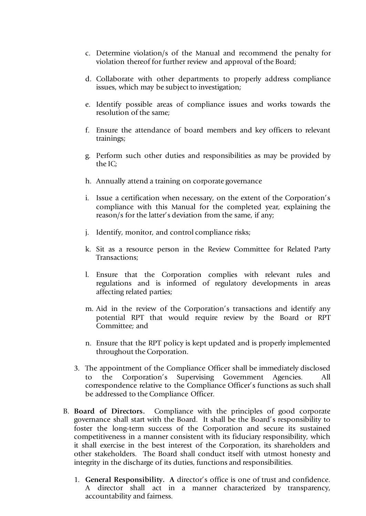- c. Determine violation/s of the Manual and recommend the penalty for violation thereof for further review and approval of the Board;
- d. Collaborate with other departments to properly address compliance issues, which may be subject to investigation;
- e. Identify possible areas of compliance issues and works towards the resolution of the same;
- f. Ensure the attendance of board members and key officers to relevant trainings;
- g. Perform such other duties and responsibilities as may be provided by the IC;
- h. Annually attend a training on corporate governance
- i. Issue a certification when necessary, on the extent of the Corporation's compliance with this Manual for the completed year, explaining the reason/s for the latter's deviation from the same, if any;
- j. Identify, monitor, and control compliance risks;
- k. Sit as a resource person in the Review Committee for Related Party Transactions;
- l. Ensure that the Corporation complies with relevant rules and regulations and is informed of regulatory developments in areas affecting related parties;
- m. Aid in the review of the Corporation's transactions and identify any potential RPT that would require review by the Board or RPT Committee; and
- n. Ensure that the RPT policy is kept updated and is properly implemented throughout the Corporation.
- 3. The appointment of the Compliance Officer shall be immediately disclosed the Corporation's Supervising Government Agencies. All correspondence relative to the Compliance Officer's functions as such shall be addressed to the Compliance Officer.
- B. **Board of Directors.** Compliance with the principles of good corporate governance shall start with the Board. It shall be the Board's responsibility to foster the long-term success of the Corporation and secure its sustained competitiveness in a manner consistent with its fiduciary responsibility, which it shall exercise in the best interest of the Corporation, its shareholders and other stakeholders. The Board shall conduct itself with utmost honesty and integrity in the discharge of its duties, functions and responsibilities.
	- 1. **General Responsibility. A** director's office is one of trust and confidence. A director shall act in a manner characterized by transparency, accountability and fairness.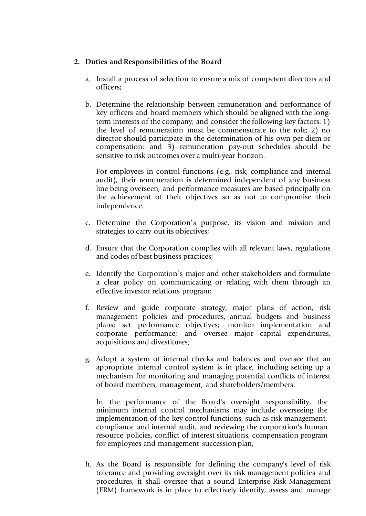#### **2. Duties and Responsibilities of the Board**

- a. Install a process of selection to ensure a mix of competent directors and officers;
- b. Determine the relationship between remuneration and performance of key officers and board members which should be aligned with the longterm interests of the company; and consider the following key factors: 1) the level of remuneration must be commensurate to the role; 2) no director should participate in the determination of his own per diem or compensation; and 3) remuneration pay-out schedules should be sensitive to risk outcomes over a multi-year horizon.

For employees in control functions (e.g., risk, compliance and internal audit), their remuneration is determined independent of any business line being overseen, and performance measures are based principally on the achievement of their objectives so as not to compromise their independence.

- c. Determine the Corporation's purpose, its vision and mission and strategies to carry out its objectives;
- d. Ensure that the Corporation complies with all relevant laws, regulations and codes of best business practices;
- e. Identify the Corporation's major and other stakeholders and formulate a clear policy on communicating or relating with them through an effective investor relations program;
- f. Review and guide corporate strategy, major plans of action, risk management policies and procedures, annual budgets and business plans; set performance objectives; monitor implementation and corporate performance; and oversee major capital expenditures, acquisitions and divestitures;
- g. Adopt a system of internal checks and balances and oversee that an appropriate internal control system is in place, including setting up a mechanism for monitoring and managing potential conflicts of interest of board members, management, and shareholders/members.

In the performance of the Board's oversight responsibility, the minimum internal control mechanisms may include overseeing the implementation of the key control functions, such as risk management, compliance and internal audit, and reviewing the corporation's human resource policies, conflict of interest situations, compensation program for employees and management succession plan:

h. As the Board is responsible for defining the company's level of risk tolerance and providing oversight over its risk management policies and procedures, it shall oversee that a sound Enterprise Risk Management (ERM) framework is in place to effectively identify, assess and manage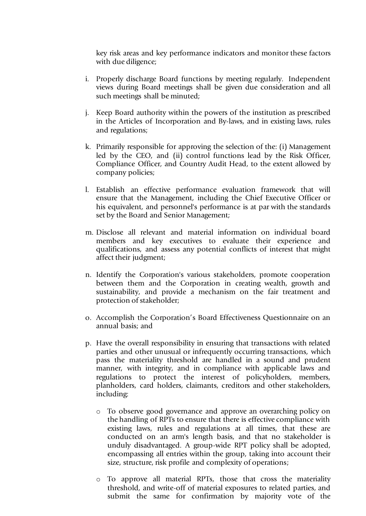key risk areas and key performance indicators and monitor these factors with due diligence;

- i. Properly discharge Board functions by meeting regularly. Independent views during Board meetings shall be given due consideration and all such meetings shall be minuted;
- j. Keep Board authority within the powers of the institution as prescribed in the Articles of Incorporation and By-laws, and in existing laws, rules and regulations;
- k. Primarily responsible for approving the selection of the: (i) Management led by the CEO, and (ii) control functions lead by the Risk Officer, Compliance Officer, and Country Audit Head, to the extent allowed by company policies;
- l. Establish an effective performance evaluation framework that will ensure that the Management, including the Chief Executive Officer or his equivalent, and personnel's performance is at par with the standards set by the Board and Senior Management;
- m. Disclose all relevant and material information on individual board members and key executives to evaluate their experience and qualifications, and assess any potential conflicts of interest that might affect their judgment;
- n. Identify the Corporation's various stakeholders, promote cooperation between them and the Corporation in creating wealth, growth and sustainability, and provide a mechanism on the fair treatment and protection of stakeholder;
- o. Accomplish the Corporation's Board Effectiveness Questionnaire on an annual basis; and
- p. Have the overall responsibility in ensuring that transactions with related parties and other unusual or infrequently occurring transactions, which pass the materiality threshold are handled in a sound and prudent manner, with integrity, and in compliance with applicable laws and regulations to protect the interest of policyholders, members, planholders, card holders, claimants, creditors and other stakeholders, including:
	- o To observe good governance and approve an overarching policy on the handling of RPTs to ensure that there is effective compliance with existing laws, rules and regulations at all times, that these are conducted on an arm's length basis, and that no stakeholder is unduly disadvantaged. A group-wide RPT policy shall be adopted, encompassing all entries within the group, taking into account their size, structure, risk profile and complexity of operations;
	- o To approve all material RPTs, those that cross the materiality threshold, and write-off of material exposures to related parties, and submit the same for confirmation by majority vote of the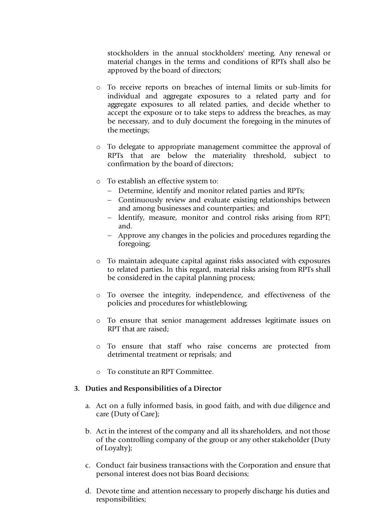stockholders in the annual stockholders' meeting. Any renewal or material changes in the terms and conditions of RPTs shall also be approved by the board of directors;

- o To receive reports on breaches of internal limits or sub-limits for individual and aggregate exposures to a related party and for aggregate exposures to all related parties, and decide whether to accept the exposure or to take steps to address the breaches, as may be necessary, and to duly document the foregoing in the minutes of the meetings;
- o To delegate to appropriate management committee the approval of RPTs that are below the materiality threshold, subject to confirmation by the board of directors;
- o To establish an effective system to:
	- − Determine, identify and monitor related parties and RPTs;
	- − Continuously review and evaluate existing relationships between and among businesses and counterparties; and
	- ldentify, measure, monitor and control risks arising from RPT; and.
	- − Approve any changes in the policies and procedures regarding the foregoing;
- o To maintain adequate capital against risks associated with exposures to related parties. ln this regard, material risks arising from RPTs shall be considered in the capital planning process;
- To oversee the integrity, independence, and effectiveness of the policies and procedures for whistleblowing;
- o To ensure that senior management addresses legitimate issues on RPT that are raised;
- o To ensure that staff who raise concerns are protected from detrimental treatment or reprisals; and
- o To constitute an RPT Committee.

#### **3. Duties and Responsibilities of a Director**

- a. Act on a fully informed basis, in good faith, and with due diligence and care (Duty of Care);
- b. Act in the interest of the company and all its shareholders, and not those of the controlling company of the group or any other stakeholder (Duty of Loyalty);
- c. Conduct fair business transactions with the Corporation and ensure that personal interest does not bias Board decisions;
- d. Devote time and attention necessary to properly discharge his duties and responsibilities;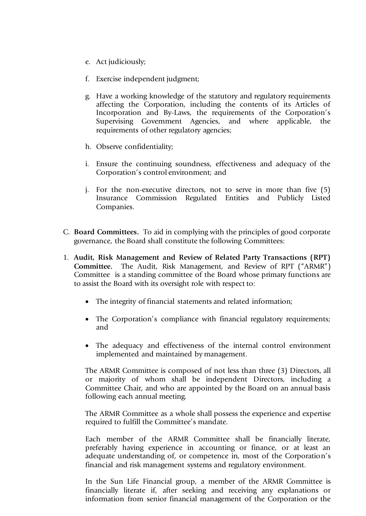- e. Act judiciously;
- f. Exercise independent judgment;
- g. Have a working knowledge of the statutory and regulatory requirements affecting the Corporation, including the contents of its Articles of Incorporation and By-Laws, the requirements of the Corporation's Supervising Government Agencies, and where applicable, the requirements of other regulatory agencies;
- h. Observe confidentiality;
- i. Ensure the continuing soundness, effectiveness and adequacy of the Corporation's control environment; and
- j. For the non-executive directors, not to serve in more than five (5) Insurance Commission Regulated Entities and Publicly Listed Companies.
- C. **Board Committees.** To aid in complying with the principles of good corporate governance, the Board shall constitute the following Committees:
- 1. **Audit, Risk Management and Review of Related Party Transactions (RPT) Committee.** The Audit, Risk Management, and Review of RPT ("ARMR") Committee is a standing committee of the Board whose primary functions are to assist the Board with its oversight role with respect to:
	- The integrity of financial statements and related information;
	- The Corporation's compliance with financial regulatory requirements; and
	- The adequacy and effectiveness of the internal control environment implemented and maintained by management.

The ARMR Committee is composed of not less than three (3) Directors, all or majority of whom shall be independent Directors, including a Committee Chair, and who are appointed by the Board on an annual basis following each annual meeting.

The ARMR Committee as a whole shall possess the experience and expertise required to fulfill the Committee's mandate.

Each member of the ARMR Committee shall be financially literate, preferably having experience in accounting or finance, or at least an adequate understanding of, or competence in, most of the Corporation's financial and risk management systems and regulatory environment.

In the Sun Life Financial group, a member of the ARMR Committee is financially literate if, after seeking and receiving any explanations or information from senior financial management of the Corporation or the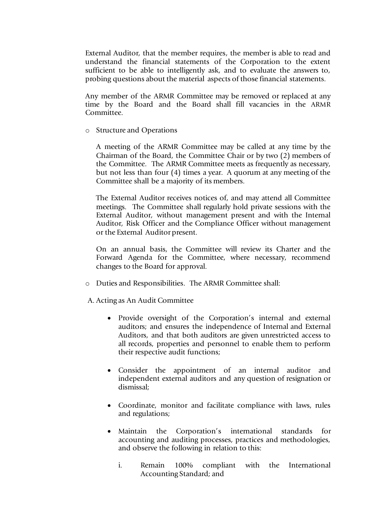External Auditor, that the member requires, the member is able to read and understand the financial statements of the Corporation to the extent sufficient to be able to intelligently ask, and to evaluate the answers to, probing questions about the material aspects of those financial statements.

Any member of the ARMR Committee may be removed or replaced at any time by the Board and the Board shall fill vacancies in the ARMR Committee.

o Structure and Operations

A meeting of the ARMR Committee may be called at any time by the Chairman of the Board, the Committee Chair or by two (2) members of the Committee. The ARMR Committee meets as frequently as necessary, but not less than four (4) times a year. A quorum at any meeting of the Committee shall be a majority of its members.

The External Auditor receives notices of, and may attend all Committee meetings. The Committee shall regularly hold private sessions with the External Auditor, without management present and with the Internal Auditor, Risk Officer and the Compliance Officer without management or the External Auditor present.

On an annual basis, the Committee will review its Charter and the Forward Agenda for the Committee, where necessary, recommend changes to the Board for approval.

- o Duties and Responsibilities. The ARMR Committee shall:
- A. Acting as An Audit Committee
	- Provide oversight of the Corporation's internal and external auditors; and ensures the independence of Internal and External Auditors, and that both auditors are given unrestricted access to all records, properties and personnel to enable them to perform their respective audit functions;
	- Consider the appointment of an internal auditor and independent external auditors and any question of resignation or dismissal;
	- Coordinate, monitor and facilitate compliance with laws, rules and regulations;
	- Maintain the Corporation's international standards for accounting and auditing processes, practices and methodologies, and observe the following in relation to this:
		- i. Remain 100% compliant with the International Accounting Standard; and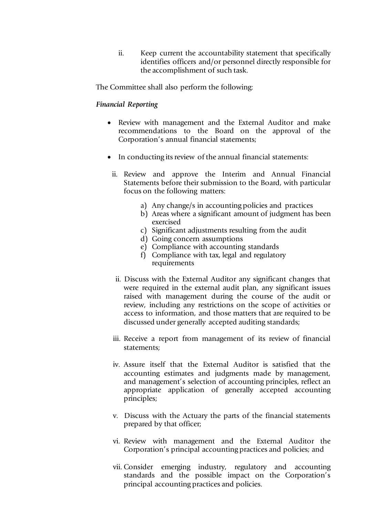ii. Keep current the accountability statement that specifically identifies officers and/or personnel directly responsible for the accomplishment of such task.

The Committee shall also perform the following:

#### *Financial Reporting*

- Review with management and the External Auditor and make recommendations to the Board on the approval of the Corporation's annual financial statements;
- In conducting its review of the annual financial statements:
	- ii. Review and approve the Interim and Annual Financial Statements before their submission to the Board, with particular focus on the following matters:
		- a) Any change/s in accounting policies and practices
		- b) Areas where a significant amount of judgment has been exercised
		- c) Significant adjustments resulting from the audit
		- d) Going concern assumptions
		- e) Compliance with accounting standards
		- f) Compliance with tax, legal and regulatory requirements
	- ii. Discuss with the External Auditor any significant changes that were required in the external audit plan, any significant issues raised with management during the course of the audit or review, including any restrictions on the scope of activities or access to information, and those matters that are required to be discussed under generally accepted auditing standards;
	- iii. Receive a report from management of its review of financial statements;
	- iv. Assure itself that the External Auditor is satisfied that the accounting estimates and judgments made by management, and management's selection of accounting principles, reflect an appropriate application of generally accepted accounting principles;
	- v. Discuss with the Actuary the parts of the financial statements prepared by that officer;
	- vi. Review with management and the External Auditor the Corporation's principal accounting practices and policies; and
	- vii. Consider emerging industry, regulatory and accounting standards and the possible impact on the Corporation's principal accounting practices and policies.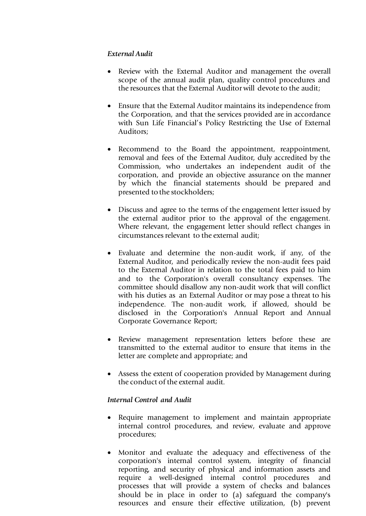### *External Audit*

- Review with the External Auditor and management the overall scope of the annual audit plan, quality control procedures and the resources that the External Auditor will devote to the audit;
- Ensure that the External Auditor maintains its independence from the Corporation, and that the services provided are in accordance with Sun Life Financial's Policy Restricting the Use of External Auditors;
- Recommend to the Board the appointment, reappointment, removal and fees of the External Auditor, duly accredited by the Commission, who undertakes an independent audit of the corporation, and provide an objective assurance on the manner by which the financial statements should be prepared and presented to the stockholders;
- Discuss and agree to the terms of the engagement letter issued by the external auditor prior to the approval of the engagement. Where relevant, the engagement letter should reflect changes in circumstances relevant to the external audit;
- Evaluate and determine the non-audit work, if any, of the External Auditor, and periodically review the non-audit fees paid to the External Auditor in relation to the total fees paid to him and to the Corporation's overall consultancy expenses. The committee should disallow any non-audit work that will conflict with his duties as an External Auditor or may pose a threat to his independence. The non-audit work, if allowed, should be disclosed in the Corporation's Annual Report and Annual Corporate Governance Report;
- Review management representation letters before these are transmitted to the external auditor to ensure that items in the letter are complete and appropriate; and
- Assess the extent of cooperation provided by Management during the conduct of the external audit.

#### *Internal Control and Audit*

- Require management to implement and maintain appropriate internal control procedures, and review, evaluate and approve procedures;
- Monitor and evaluate the adequacy and effectiveness of the corporation's internal control system, integrity of financial reporting, and security of physical and information assets and require a well-designed internal control procedures and processes that will provide a system of checks and balances should be in place in order to (a) safeguard the company's resources and ensure their effective utilization, (b) prevent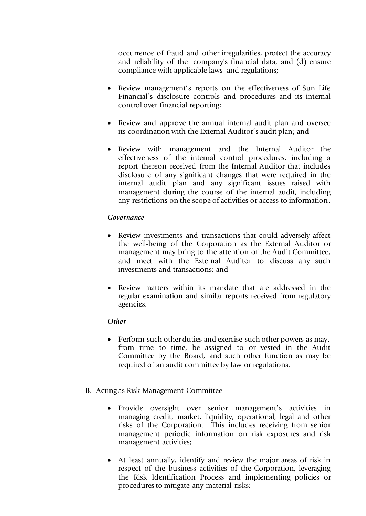occurrence of fraud and other irregularities, protect the accuracy and reliability of the company's financial data, and (d) ensure compliance with applicable laws and regulations;

- Review management's reports on the effectiveness of Sun Life Financial's disclosure controls and procedures and its internal control over financial reporting;
- Review and approve the annual internal audit plan and oversee its coordination with the External Auditor's audit plan; and
- Review with management and the Internal Auditor the effectiveness of the internal control procedures, including a report thereon received from the Internal Auditor that includes disclosure of any significant changes that were required in the internal audit plan and any significant issues raised with management during the course of the internal audit, including any restrictions on the scope of activities or access to information.

#### *Governance*

- Review investments and transactions that could adversely affect the well-being of the Corporation as the External Auditor or management may bring to the attention of the Audit Committee, and meet with the External Auditor to discuss any such investments and transactions; and
- Review matters within its mandate that are addressed in the regular examination and similar reports received from regulatory agencies.

#### *Other*

- Perform such other duties and exercise such other powers as may, from time to time, be assigned to or vested in the Audit Committee by the Board, and such other function as may be required of an audit committee by law or regulations.
- B. Acting as Risk Management Committee
	- Provide oversight over senior management's activities in managing credit, market, liquidity, operational, legal and other risks of the Corporation. This includes receiving from senior management periodic information on risk exposures and risk management activities;
	- At least annually, identify and review the major areas of risk in respect of the business activities of the Corporation, leveraging the Risk Identification Process and implementing policies or procedures to mitigate any material risks;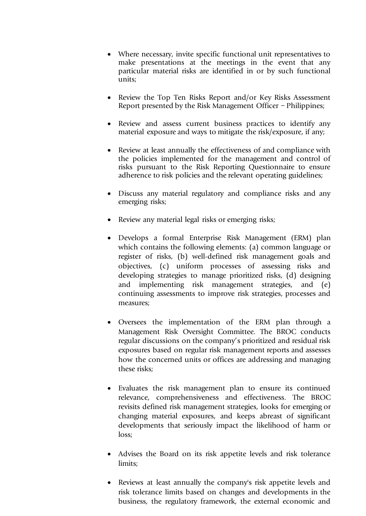- Where necessary, invite specific functional unit representatives to make presentations at the meetings in the event that any particular material risks are identified in or by such functional units;
- Review the Top Ten Risks Report and/or Key Risks Assessment Report presented by the Risk Management Officer – Philippines;
- Review and assess current business practices to identify any material exposure and ways to mitigate the risk/exposure, if any;
- Review at least annually the effectiveness of and compliance with the policies implemented for the management and control of risks pursuant to the Risk Reporting Questionnaire to ensure adherence to risk policies and the relevant operating guidelines;
- Discuss any material regulatory and compliance risks and any emerging risks;
- Review any material legal risks or emerging risks;
- Develops a formal Enterprise Risk Management (ERM) plan which contains the following elements: (a) common language or register of risks, (b) well-defined risk management goals and objectives, (c) uniform processes of assessing risks and developing strategies to manage prioritized risks, (d) designing and implementing risk management strategies, and (e) continuing assessments to improve risk strategies, processes and measures;
- Oversees the implementation of the ERM plan through a Management Risk Oversight Committee. The BROC conducts regular discussions on the company's prioritized and residual risk exposures based on regular risk management reports and assesses how the concerned units or offices are addressing and managing these risks;
- Evaluates the risk management plan to ensure its continued relevance, comprehensiveness and effectiveness. The BROC revisits defined risk management strategies, looks for emerging or changing material exposures, and keeps abreast of significant developments that seriously impact the likelihood of harm or loss;
- Advises the Board on its risk appetite levels and risk tolerance limits;
- Reviews at least annually the company's risk appetite levels and risk tolerance limits based on changes and developments in the business, the regulatory framework, the external economic and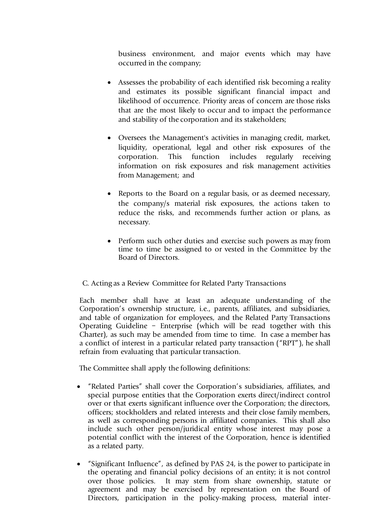business environment, and major events which may have occurred in the company;

- Assesses the probability of each identified risk becoming a reality and estimates its possible significant financial impact and likelihood of occurrence. Priority areas of concern are those risks that are the most likely to occur and to impact the performance and stability of the corporation and its stakeholders;
- Oversees the Management's activities in managing credit, market, liquidity, operational, legal and other risk exposures of the corporation. This function includes regularly receiving information on risk exposures and risk management activities from Management; and
- Reports to the Board on a regular basis, or as deemed necessary, the company/s material risk exposures, the actions taken to reduce the risks, and recommends further action or plans, as necessary.
- Perform such other duties and exercise such powers as may from time to time be assigned to or vested in the Committee by the Board of Directors.

### C. Acting as a Review Committee for Related Party Transactions

Each member shall have at least an adequate understanding of the Corporation's ownership structure, i.e., parents, affiliates, and subsidiaries, and table of organization for employees, and the Related Party Transactions Operating Guideline – Enterprise (which will be read together with this Charter), as such may be amended from time to time. In case a member has a conflict of interest in a particular related party transaction ("RPT"), he shall refrain from evaluating that particular transaction.

The Committee shall apply the following definitions:

- "Related Parties" shall cover the Corporation's subsidiaries, affiliates, and special purpose entities that the Corporation exerts direct/indirect control over or that exerts significant influence over the Corporation; the directors, officers; stockholders and related interests and their close family members, as well as corresponding persons in affiliated companies. This shall also include such other person/juridical entity whose interest may pose a potential conflict with the interest of the Corporation, hence is identified as a related party.
- "Significant Influence", as defined by PAS 24, is the power to participate in the operating and financial policy decisions of an entity; it is not control over those policies. It may stem from share ownership, statute or agreement and may be exercised by representation on the Board of Directors, participation in the policy-making process, material inter-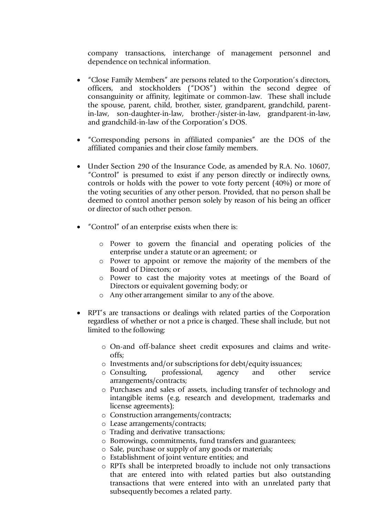company transactions, interchange of management personnel and dependence on technical information.

- "Close Family Members" are persons related to the Corporation's directors, officers, and stockholders ("DOS") within the second degree of consanguinity or affinity, legitimate or common-law. These shall include the spouse, parent, child, brother, sister, grandparent, grandchild, parentin-law, son-daughter-in-law, brother-/sister-in-law, grandparent-in-law, and grandchild-in-law of the Corporation's DOS.
- "Corresponding persons in affiliated companies" are the DOS of the affiliated companies and their close family members.
- Under Section 290 of the Insurance Code, as amended by R.A. No. 10607, "Control" is presumed to exist if any person directly or indirectly owns, controls or holds with the power to vote forty percent (40%) or more of the voting securities of any other person. Provided, that no person shall be deemed to control another person solely by reason of his being an officer or director of such other person.
- "Control" of an enterprise exists when there is:
	- o Power to govern the financial and operating policies of the enterprise under a statute or an agreement; or
	- o Power to appoint or remove the majority of the members of the Board of Directors; or
	- o Power to cast the majority votes at meetings of the Board of Directors or equivalent governing body; or
	- o Any other arrangement similar to any of the above.
- RPT's are transactions or dealings with related parties of the Corporation regardless of whether or not a price is charged. These shall include, but not limited to the following:
	- o On-and off-balance sheet credit exposures and claims and writeoffs;
	- o Investments and/or subscriptions for debt/equity issuances;
	- o Consulting, professional, agency and other service arrangements/contracts;
	- o Purchases and sales of assets, including transfer of technology and intangible items (e.g. research and development, trademarks and license agreements);
	- o Construction arrangements/contracts;
	- o Lease arrangements/contracts;
	- o Trading and derivative transactions;
	- o Borrowings, commitments, fund transfers and guarantees;
	- o Sale, purchase or supply of any goods or materials;
	- o Establishment of joint venture entities; and
	- o RPTs shall be interpreted broadly to include not only transactions that are entered into with related parties but also outstanding transactions that were entered into with an unrelated party that subsequently becomes a related party.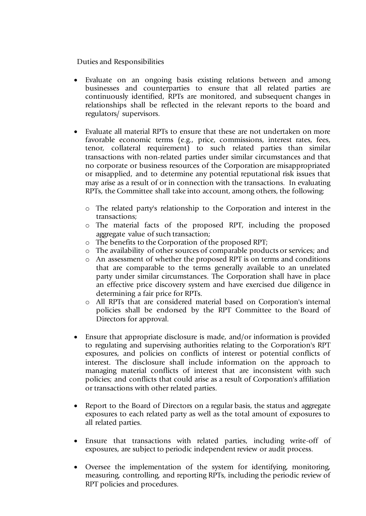Duties and Responsibilities

- Evaluate on an ongoing basis existing relations between and among businesses and counterparties to ensure that all related parties are continuously identified, RPTs are monitored, and subsequent changes in relationships shall be reflected in the relevant reports to the board and regulators/ supervisors.
- Evaluate all material RPTs to ensure that these are not undertaken on more favorable economic terms (e.g., price, commissions, interest rates, fees, tenor, collateral requirement) to such related parties than similar transactions with non-related parties under similar circumstances and that no corporate or business resources of the Corporation are misappropriated or misapplied, and to determine any potential reputational risk issues that may arise as a result of or in connection with the transactions. In evaluating RPTs, the Committee shall take into account, among others, the following:
	- o The related party's relationship to the Corporation and interest in the transactions;
	- o The material facts of the proposed RPT, including the proposed aggregate value of such transaction;
	- o The benefits to the Corporation of the proposed RPT;
	- o The availability of other sources of comparable products or services; and
	- o An assessment of whether the proposed RPT is on terms and conditions that are comparable to the terms generally available to an unrelated party under similar circumstances. The Corporation shall have in place an effective price discovery system and have exercised due diligence in determining a fair price for RPTs.
	- o All RPTs that are considered material based on Corporation's internal policies shall be endorsed by the RPT Committee to the Board of Directors for approval.
- Ensure that appropriate disclosure is made, and/or information is provided to regulating and supervising authorities relating to the Corporation's RPT exposures, and policies on conflicts of interest or potential conflicts of interest. The disclosure shall include information on the approach to managing material conflicts of interest that are inconsistent with such policies; and conflicts that could arise as a result of Corporation's affiliation or transactions with other related parties.
- Report to the Board of Directors on a regular basis, the status and aggregate exposures to each related party as well as the total amount of exposures to all related parties.
- Ensure that transactions with related parties, including write-off of exposures, are subject to periodic independent review or audit process.
- Oversee the implementation of the system for identifying, monitoring, measuring, controlling, and reporting RPTs, including the periodic review of RPT policies and procedures.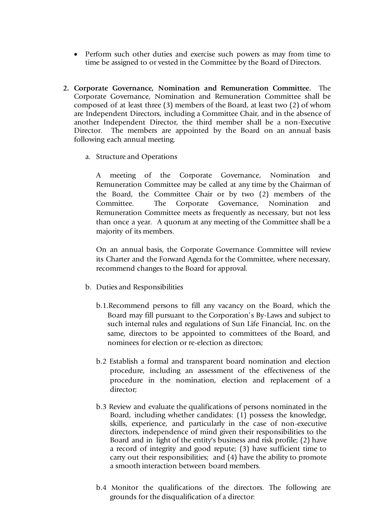- Perform such other duties and exercise such powers as may from time to time be assigned to or vested in the Committee by the Board of Directors.
- **2. Corporate Governance, Nomination and Remuneration Committee.** The Corporate Governance, Nomination and Remuneration Committee shall be composed of at least three (3) members of the Board, at least two (2) of whom are Independent Directors, including a Committee Chair, and in the absence of another Independent Director, the third member shall be a non-Executive Director. The members are appointed by the Board on an annual basis following each annual meeting.
	- a. Structure and Operations

A meeting of the Corporate Governance, Nomination and Remuneration Committee may be called at any time by the Chairman of the Board, the Committee Chair or by two (2) members of the Committee. The Corporate Governance, Nomination and Remuneration Committee meets as frequently as necessary, but not less than once a year. A quorum at any meeting of the Committee shall be a majority of its members.

On an annual basis, the Corporate Governance Committee will review its Charter and the Forward Agenda for the Committee, where necessary, recommend changes to the Board for approval.

- b. Duties and Responsibilities
	- b.1.Recommend persons to fill any vacancy on the Board, which the Board may fill pursuant to the Corporation's By-Laws and subject to such internal rules and regulations of Sun Life Financial, Inc. on the same, directors to be appointed to committees of the Board, and nominees for election or re-election as directors;
	- b.2 Establish a formal and transparent board nomination and election procedure, including an assessment of the effectiveness of the procedure in the nomination, election and replacement of a director;
	- b.3 Review and evaluate the qualifications of persons nominated in the Board, including whether candidates: (1) possess the knowledge, skills, experience, and particularly in the case of non-executive directors, independence of mind given their responsibilities to the Board and in light of the entity's business and risk profile; (2) have a record of integrity and good repute; (3) have sufficient time to carry out their responsibilities; and (4) have the ability to promote a smooth interaction between board members.
	- b.4 Monitor the qualifications of the directors. The following are grounds for the disqualification of a director: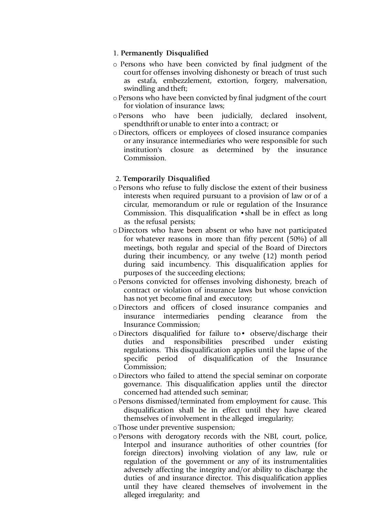#### 1. **Permanently Disqualified**

- o Persons who have been convicted by final judgment of the court for offenses involving dishonesty or breach of trust such as estafa, embezzlement, extortion, forgery, malversation, swindling and theft;
- oPersons who have been convicted by final judgment of the court for violation of insurance laws;
- oPersons who have been judicially, declared insolvent, spendthrift or unable to enter into a contract; or
- oDirectors, officers or employees of closed insurance companies or any insurance intermediaries who were responsible for such institution's closure as determined by the insurance Commission.

#### 2. **Temporarily Disqualified**

- oPersons who refuse to fully disclose the extent of their business interests when required pursuant to a provision of law or of a circular, memorandum or rule or regulation of the Insurance Commission. This disqualification •shall be in effect as long as the refusal persists;
- oDirectors who have been absent or who have not participated for whatever reasons in more than fifty percent (50%) of all meetings, both regular and special of the Board of Directors during their incumbency, or any twelve (12) month period during said incumbency. This disqualification applies for purposes of the succeeding elections;
- oPersons convicted for offenses involving dishonesty, breach of contract or violation of insurance laws but whose conviction has not yet become final and executory;
- oDirectors and officers of closed insurance companies and insurance intermediaries pending clearance from the Insurance Commission;
- oDirectors disqualified for failure to• observe/discharge their duties and responsibilities prescribed under existing regulations. This disqualification applies until the lapse of the specific period of disqualification of the Insurance Commission;
- oDirectors who failed to attend the special seminar on corporate governance. This disqualification applies until the director concerned had attended such seminar;
- oPersons dismissed/terminated from employment for cause. This disqualification shall be in effect until they have cleared themselves of involvement in the alleged irregularity;
- oThose under preventive suspension;
- oPersons with derogatory records with the NBI, court, police, Interpol and insurance authorities of other countries (for foreign directors) involving violation of any law, rule or regulation of the government or any of its instrumentalities adversely affecting the integrity and/or ability to discharge the duties of and insurance director. This disqualification applies until they have cleared themselves of involvement in the alleged irregularity; and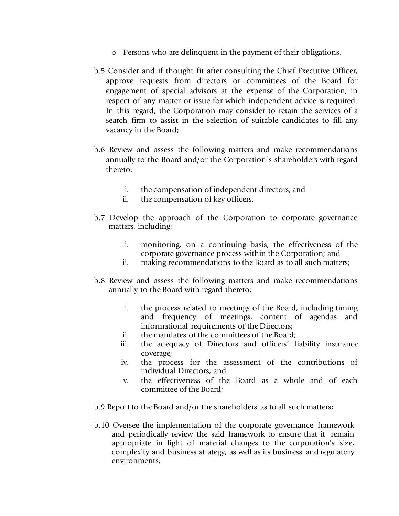- o Persons who are delinquent in the payment of their obligations.
- b.5 Consider and if thought fit after consulting the Chief Executive Officer, approve requests from directors or committees of the Board for engagement of special advisors at the expense of the Corporation, in respect of any matter or issue for which independent advice is required. In this regard, the Corporation may consider to retain the services of a search firm to assist in the selection of suitable candidates to fill any vacancy in the Board;
- b.6 Review and assess the following matters and make recommendations annually to the Board and/or the Corporation's shareholders with regard thereto:
	- i. the compensation of independent directors; and
	- ii. the compensation of key officers.
- b.7 Develop the approach of the Corporation to corporate governance matters, including:
	- i. monitoring, on a continuing basis, the effectiveness of the corporate governance process within the Corporation; and
	- ii. making recommendations to the Board as to all such matters;
- b.8 Review and assess the following matters and make recommendations annually to the Board with regard thereto;
	- i. the process related to meetings of the Board, including timing and frequency of meetings, content of agendas and informational requirements of the Directors;
	- ii. the mandates of the committees of the Board;
	- iii. the adequacy of Directors and officers' liability insurance coverage;
	- iv. the process for the assessment of the contributions of individual Directors; and
	- v. the effectiveness of the Board as a whole and of each committee of the Board;
- b.9 Report to the Board and/or the shareholders as to all such matters;
- b.10 Oversee the implementation of the corporate governance framework and periodically review the said framework to ensure that it remain appropriate in light of material changes to the corporation's size, complexity and business strategy, as well as its business and regulatory environments;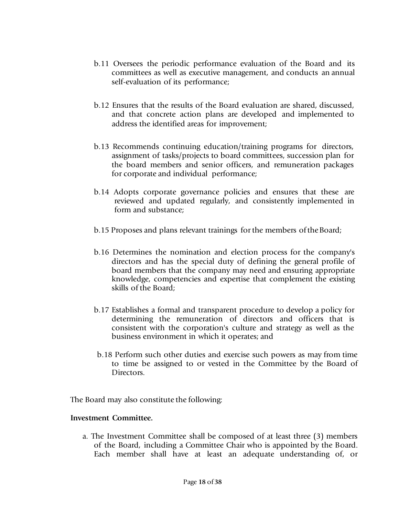- b.11 Oversees the periodic performance evaluation of the Board and its committees as well as executive management, and conducts an annual self-evaluation of its performance;
- b.12 Ensures that the results of the Board evaluation are shared, discussed, and that concrete action plans are developed and implemented to address the identified areas for improvement;
- b.13 Recommends continuing education/training programs for directors, assignment of tasks/projects to board committees, succession plan for the board members and senior officers, and remuneration packages for corporate and individual performance;
- b.14 Adopts corporate governance policies and ensures that these are reviewed and updated regularly, and consistently implemented in form and substance;
- b.15 Proposes and plans relevant trainings for the members of the Board;
- b.16 Determines the nomination and election process for the company's directors and has the special duty of defining the general profile of board members that the company may need and ensuring appropriate knowledge, competencies and expertise that complement the existing skills of the Board;
- b.17 Establishes a formal and transparent procedure to develop a policy for determining the remuneration of directors and officers that is consistent with the corporation's culture and strategy as well as the business environment in which it operates; and
- b.18 Perform such other duties and exercise such powers as may from time to time be assigned to or vested in the Committee by the Board of Directors.

The Board may also constitute the following:

#### **Investment Committee.**

a. The Investment Committee shall be composed of at least three (3) members of the Board, including a Committee Chair who is appointed by the Board. Each member shall have at least an adequate understanding of, or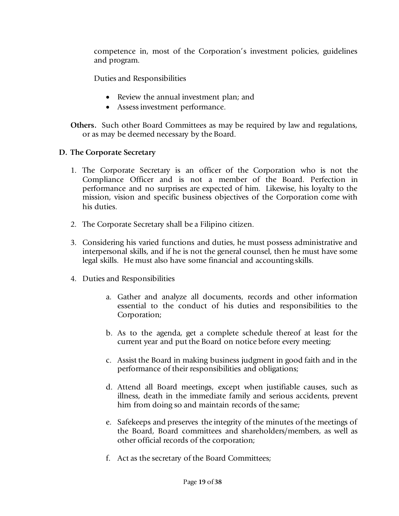competence in, most of the Corporation's investment policies, guidelines and program.

Duties and Responsibilities

- Review the annual investment plan; and
- Assess investment performance.

**Others.** Such other Board Committees as may be required by law and regulations, or as may be deemed necessary by the Board.

- **D. The Corporate Secretary**
	- 1. The Corporate Secretary is an officer of the Corporation who is not the Compliance Officer and is not a member of the Board. Perfection in performance and no surprises are expected of him. Likewise, his loyalty to the mission, vision and specific business objectives of the Corporation come with his duties.
	- 2. The Corporate Secretary shall be a Filipino citizen.
	- 3. Considering his varied functions and duties, he must possess administrative and interpersonal skills, and if he is not the general counsel, then he must have some legal skills. He must also have some financial and accounting skills.
	- 4. Duties and Responsibilities
		- a. Gather and analyze all documents, records and other information essential to the conduct of his duties and responsibilities to the Corporation;
		- b. As to the agenda, get a complete schedule thereof at least for the current year and put the Board on notice before every meeting;
		- c. Assist the Board in making business judgment in good faith and in the performance of their responsibilities and obligations;
		- d. Attend all Board meetings, except when justifiable causes, such as illness, death in the immediate family and serious accidents, prevent him from doing so and maintain records of the same;
		- e. Safekeeps and preserves the integrity of the minutes of the meetings of the Board, Board committees and shareholders/members, as well as other official records of the corporation;
		- f. Act as the secretary of the Board Committees;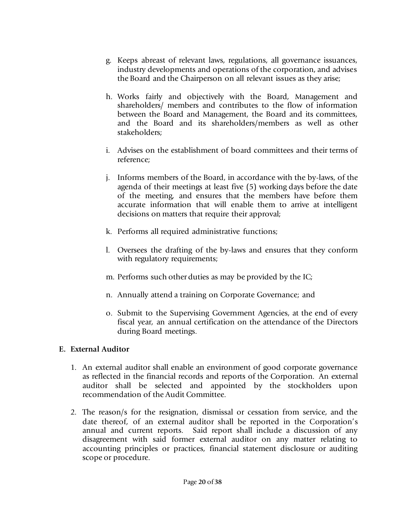- g. Keeps abreast of relevant laws, regulations, all governance issuances, industry developments and operations of the corporation, and advises the Board and the Chairperson on all relevant issues as they arise;
- h. Works fairly and objectively with the Board, Management and shareholders/ members and contributes to the flow of information between the Board and Management, the Board and its committees, and the Board and its shareholders/members as well as other stakeholders;
- i. Advises on the establishment of board committees and their terms of reference;
- j. Informs members of the Board, in accordance with the by-laws, of the agenda of their meetings at least five (5) working days before the date of the meeting, and ensures that the members have before them accurate information that will enable them to arrive at intelligent decisions on matters that require their approval;
- k. Performs all required administrative functions;
- l. Oversees the drafting of the by-laws and ensures that they conform with regulatory requirements;
- m. Performs such other duties as may be provided by the IC;
- n. Annually attend a training on Corporate Governance; and
- o. Submit to the Supervising Government Agencies, at the end of every fiscal year, an annual certification on the attendance of the Directors during Board meetings.

### **E. External Auditor**

- 1. An external auditor shall enable an environment of good corporate governance as reflected in the financial records and reports of the Corporation. An external auditor shall be selected and appointed by the stockholders upon recommendation of the Audit Committee.
- 2. The reason/s for the resignation, dismissal or cessation from service, and the date thereof, of an external auditor shall be reported in the Corporation's annual and current reports. Said report shall include a discussion of any disagreement with said former external auditor on any matter relating to accounting principles or practices, financial statement disclosure or auditing scope or procedure.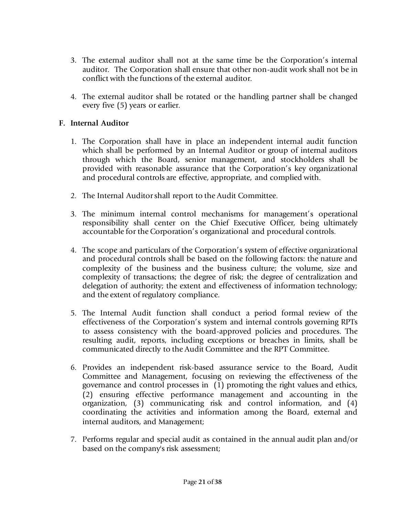- 3. The external auditor shall not at the same time be the Corporation's internal auditor. The Corporation shall ensure that other non-audit work shall not be in conflict with the functions of the external auditor.
- 4. The external auditor shall be rotated or the handling partner shall be changed every five (5) years or earlier.

## **F. Internal Auditor**

- 1. The Corporation shall have in place an independent internal audit function which shall be performed by an Internal Auditor or group of internal auditors through which the Board, senior management, and stockholders shall be provided with reasonable assurance that the Corporation's key organizational and procedural controls are effective, appropriate, and complied with.
- 2. The Internal Auditor shall report to the Audit Committee.
- 3. The minimum internal control mechanisms for management's operational responsibility shall center on the Chief Executive Officer, being ultimately accountable for the Corporation's organizational and procedural controls.
- 4. The scope and particulars of the Corporation's system of effective organizational and procedural controls shall be based on the following factors: the nature and complexity of the business and the business culture; the volume, size and complexity of transactions; the degree of risk; the degree of centralization and delegation of authority; the extent and effectiveness of information technology; and the extent of regulatory compliance.
- 5. The Internal Audit function shall conduct a period formal review of the effectiveness of the Corporation's system and internal controls governing RPTs to assess consistency with the board-approved policies and procedures. The resulting audit, reports, including exceptions or breaches in limits, shall be communicated directly to the Audit Committee and the RPT Committee.
- 6. Provides an independent risk-based assurance service to the Board, Audit Committee and Management, focusing on reviewing the effectiveness of the governance and control processes in (1) promoting the right values and ethics, (2) ensuring effective performance management and accounting in the organization, (3) communicating risk and control information, and (4) coordinating the activities and information among the Board, external and internal auditors, and Management;
- 7. Performs regular and special audit as contained in the annual audit plan and/or based on the company's risk assessment;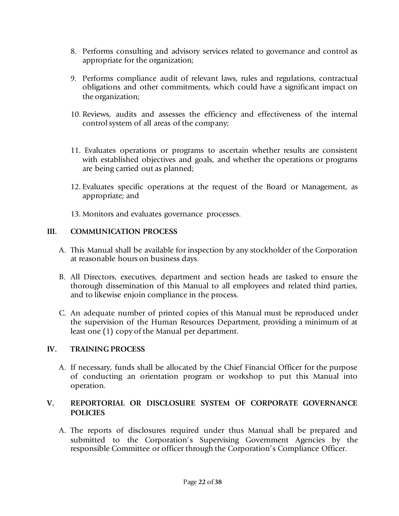- 8. Performs consulting and advisory services related to governance and control as appropriate for the organization;
- 9. Performs compliance audit of relevant laws, rules and regulations, contractual obligations and other commitments, which could have a significant impact on the organization;
- 10. Reviews, audits and assesses the efficiency and effectiveness of the internal control system of all areas of the company;
- 11. Evaluates operations or programs to ascertain whether results are consistent with established objectives and goals, and whether the operations or programs are being carried out as planned;
- 12. Evaluates specific operations at the request of the Board or Management, as appropriate; and
- 13. Monitors and evaluates governance processes.

## **III. COMMUNICATION PROCESS**

- A. This Manual shall be available for inspection by any stockholder of the Corporation at reasonable hours on business days.
- B. All Directors, executives, department and section heads are tasked to ensure the thorough dissemination of this Manual to all employees and related third parties, and to likewise enjoin compliance in the process.
- C. An adequate number of printed copies of this Manual must be reproduced under the supervision of the Human Resources Department, providing a minimum of at least one (1) copy of the Manual per department.

## **IV. TRAINING PROCESS**

A. If necessary, funds shall be allocated by the Chief Financial Officer for the purpose of conducting an orientation program or workshop to put this Manual into operation.

## **V. REPORTORIAL OR DISCLOSURE SYSTEM OF CORPORATE GOVERNANCE POLICIES**

A. The reports of disclosures required under thus Manual shall be prepared and submitted to the Corporation's Supervising Government Agencies by the responsible Committee or officer through the Corporation's Compliance Officer.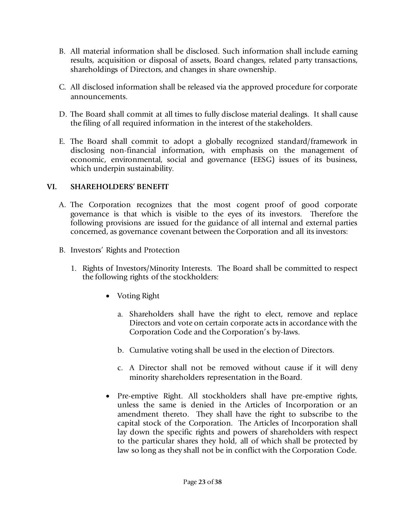- B. All material information shall be disclosed. Such information shall include earning results, acquisition or disposal of assets, Board changes, related party transactions, shareholdings of Directors, and changes in share ownership.
- C. All disclosed information shall be released via the approved procedure for corporate announcements.
- D. The Board shall commit at all times to fully disclose material dealings. It shall cause the filing of all required information in the interest of the stakeholders.
- E. The Board shall commit to adopt a globally recognized standard/framework in disclosing non-financial information, with emphasis on the management of economic, environmental, social and governance (EESG) issues of its business, which underpin sustainability.

### **VI. SHAREHOLDERS' BENEFIT**

- A. The Corporation recognizes that the most cogent proof of good corporate governance is that which is visible to the eyes of its investors. Therefore the following provisions are issued for the guidance of all internal and external parties concerned, as governance covenant between the Corporation and all its investors:
- B. Investors' Rights and Protection
	- 1. Rights of Investors/Minority Interests. The Board shall be committed to respect the following rights of the stockholders:
		- Voting Right
			- a. Shareholders shall have the right to elect, remove and replace Directors and vote on certain corporate acts in accordance with the Corporation Code and the Corporation's by-laws.
			- b. Cumulative voting shall be used in the election of Directors.
			- c. A Director shall not be removed without cause if it will deny minority shareholders representation in the Board.
		- Pre-emptive Right. All stockholders shall have pre-emptive rights, unless the same is denied in the Articles of Incorporation or an amendment thereto. They shall have the right to subscribe to the capital stock of the Corporation. The Articles of Incorporation shall lay down the specific rights and powers of shareholders with respect to the particular shares they hold, all of which shall be protected by law so long as they shall not be in conflict with the Corporation Code.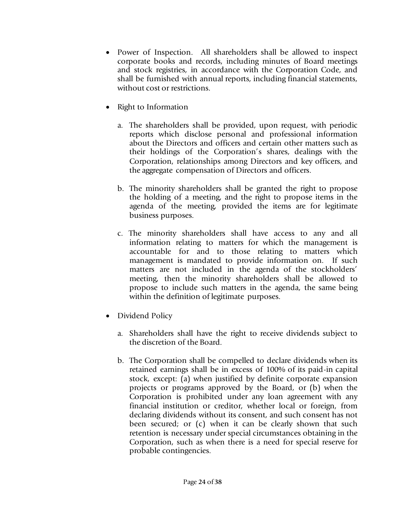- Power of Inspection. All shareholders shall be allowed to inspect corporate books and records, including minutes of Board meetings and stock registries, in accordance with the Corporation Code, and shall be furnished with annual reports, including financial statements, without cost or restrictions.
- Right to Information
	- a. The shareholders shall be provided, upon request, with periodic reports which disclose personal and professional information about the Directors and officers and certain other matters such as their holdings of the Corporation's shares, dealings with the Corporation, relationships among Directors and key officers, and the aggregate compensation of Directors and officers.
	- b. The minority shareholders shall be granted the right to propose the holding of a meeting, and the right to propose items in the agenda of the meeting, provided the items are for legitimate business purposes.
	- c. The minority shareholders shall have access to any and all information relating to matters for which the management is accountable for and to those relating to matters which management is mandated to provide information on. If such matters are not included in the agenda of the stockholders' meeting, then the minority shareholders shall be allowed to propose to include such matters in the agenda, the same being within the definition of legitimate purposes.
- Dividend Policy
	- a. Shareholders shall have the right to receive dividends subject to the discretion of the Board.
	- b. The Corporation shall be compelled to declare dividends when its retained earnings shall be in excess of 100% of its paid-in capital stock, except: (a) when justified by definite corporate expansion projects or programs approved by the Board, or (b) when the Corporation is prohibited under any loan agreement with any financial institution or creditor, whether local or foreign, from declaring dividends without its consent, and such consent has not been secured; or (c) when it can be clearly shown that such retention is necessary under special circumstances obtaining in the Corporation, such as when there is a need for special reserve for probable contingencies.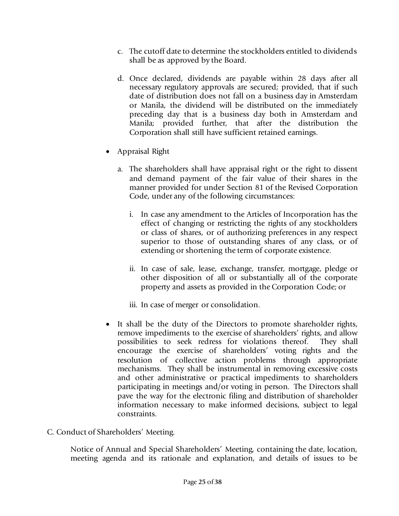- c. The cutoff date to determine the stockholders entitled to dividends shall be as approved by the Board.
- d. Once declared, dividends are payable within 28 days after all necessary regulatory approvals are secured; provided, that if such date of distribution does not fall on a business day in Amsterdam or Manila, the dividend will be distributed on the immediately preceding day that is a business day both in Amsterdam and Manila; provided further, that after the distribution the Corporation shall still have sufficient retained earnings.
- Appraisal Right
	- a. The shareholders shall have appraisal right or the right to dissent and demand payment of the fair value of their shares in the manner provided for under Section 81 of the Revised Corporation Code, under any of the following circumstances:
		- i. In case any amendment to the Articles of Incorporation has the effect of changing or restricting the rights of any stockholders or class of shares, or of authorizing preferences in any respect superior to those of outstanding shares of any class, or of extending or shortening the term of corporate existence.
		- ii. In case of sale, lease, exchange, transfer, mortgage, pledge or other disposition of all or substantially all of the corporate property and assets as provided in the Corporation Code; or
		- iii. In case of merger or consolidation.
- It shall be the duty of the Directors to promote shareholder rights, remove impediments to the exercise of shareholders' rights, and allow possibilities to seek redress for violations thereof. They shall encourage the exercise of shareholders' voting rights and the resolution of collective action problems through appropriate mechanisms. They shall be instrumental in removing excessive costs and other administrative or practical impediments to shareholders participating in meetings and/or voting in person. The Directors shall pave the way for the electronic filing and distribution of shareholder information necessary to make informed decisions, subject to legal constraints.
- C. Conduct of Shareholders' Meeting.

Notice of Annual and Special Shareholders' Meeting, containing the date, location, meeting agenda and its rationale and explanation, and details of issues to be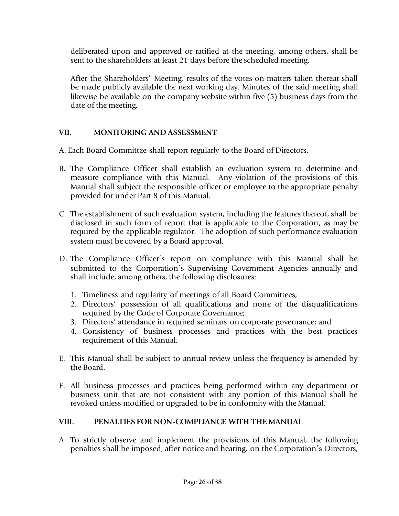deliberated upon and approved or ratified at the meeting, among others, shall be sent to the shareholders at least 21 days before the scheduled meeting.

After the Shareholders' Meeting, results of the votes on matters taken thereat shall be made publicly available the next working day. Minutes of the said meeting shall likewise be available on the company website within five (5) business days from the date of the meeting.

### **VII. MONITORING AND ASSESSMENT**

A. Each Board Committee shall report regularly to the Board of Directors.

- B. The Compliance Officer shall establish an evaluation system to determine and measure compliance with this Manual. Any violation of the provisions of this Manual shall subject the responsible officer or employee to the appropriate penalty provided for under Part 8 of this Manual.
- C. The establishment of such evaluation system, including the features thereof, shall be disclosed in such form of report that is applicable to the Corporation, as may be required by the applicable regulator. The adoption of such performance evaluation system must be covered by a Board approval.
- D. The Compliance Officer's report on compliance with this Manual shall be submitted to the Corporation's Supervising Government Agencies annually and shall include, among others, the following disclosures:
	- 1. Timeliness and regularity of meetings of all Board Committees;
	- 2. Directors' possession of all qualifications and none of the disqualifications required by the Code of Corporate Governance;
	- 3. Directors' attendance in required seminars on corporate governance; and
	- 4. Consistency of business processes and practices with the best practices requirement of this Manual.
- E. This Manual shall be subject to annual review unless the frequency is amended by the Board.
- F. All business processes and practices being performed within any department or business unit that are not consistent with any portion of this Manual shall be revoked unless modified or upgraded to be in conformity with the Manual.

## **VIII. PENALTIES FOR NON-COMPLIANCE WITH THE MANUAL**

A. To strictly observe and implement the provisions of this Manual, the following penalties shall be imposed, after notice and hearing, on the Corporation's Directors,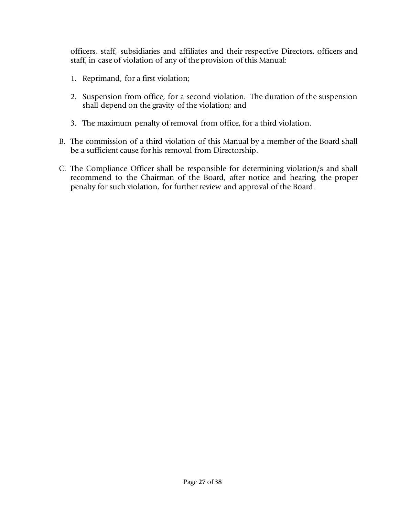officers, staff, subsidiaries and affiliates and their respective Directors, officers and staff, in case of violation of any of the provision of this Manual:

- 1. Reprimand, for a first violation;
- 2. Suspension from office, for a second violation. The duration of the suspension shall depend on the gravity of the violation; and
- 3. The maximum penalty of removal from office, for a third violation.
- B. The commission of a third violation of this Manual by a member of the Board shall be a sufficient cause for his removal from Directorship.
- C. The Compliance Officer shall be responsible for determining violation/s and shall recommend to the Chairman of the Board, after notice and hearing, the proper penalty for such violation, for further review and approval of the Board.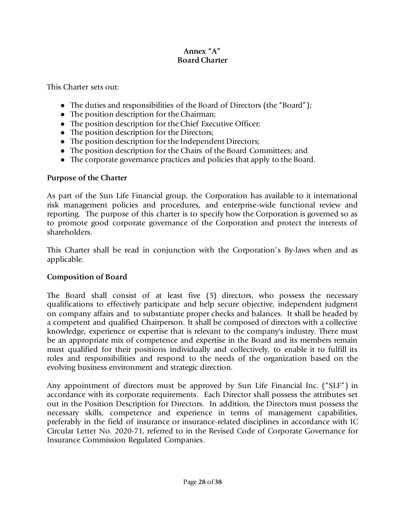#### **Annex "A" Board Charter**

This Charter sets out:

- The duties and responsibilities of the Board of Directors (the "Board");
- The position description for the Chairman;
- ⚫ The position description for the Chief Executive Officer;
- The position description for the Directors;
- ⚫ The position description for the Independent Directors;
- ⚫ The position description for the Chairs of the Board Committees; and
- ⚫ The corporate governance practices and policies that apply to the Board.

#### **Purpose of the Charter**

As part of the Sun Life Financial group, the Corporation has available to it international risk management policies and procedures, and enterprise-wide functional review and reporting. The purpose of this charter is to specify how the Corporation is governed so as to promote good corporate governance of the Corporation and protect the interests of shareholders.

This Charter shall be read in conjunction with the Corporation's By-laws when and as applicable.

### **Composition of Board**

The Board shall consist of at least five (5) directors, who possess the necessary qualifications to effectively participate and help secure objective, independent judgment on company affairs and to substantiate proper checks and balances. It shall be headed by a competent and qualified Chairperson. It shall be composed of directors with a collective knowledge, experience or expertise that is relevant to the company's industry. There must be an appropriate mix of competence and expertise in the Board and its members remain must qualified for their positions individually and collectively, to enable it to fulfill its roles and responsibilities and respond to the needs of the organization based on the evolving business environment and strategic direction.

Any appointment of directors must be approved by Sun Life Financial Inc. ("SLF") in accordance with its corporate requirements. Each Director shall possess the attributes set out in the Position Description for Directors. In addition, the Directors must possess the necessary skills, competence and experience in terms of management capabilities, preferably in the field of insurance or insurance-related disciplines in accordance with IC Circular Letter No. 2020-71, referred to in the Revised Code of Corporate Governance for Insurance Commission Regulated Companies.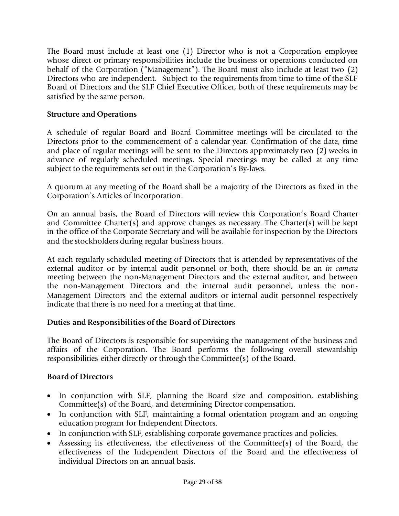The Board must include at least one (1) Director who is not a Corporation employee whose direct or primary responsibilities include the business or operations conducted on behalf of the Corporation ("Management"). The Board must also include at least two (2) Directors who are independent. Subject to the requirements from time to time of the SLF Board of Directors and the SLF Chief Executive Officer, both of these requirements may be satisfied by the same person.

## **Structure and Operations**

A schedule of regular Board and Board Committee meetings will be circulated to the Directors prior to the commencement of a calendar year. Confirmation of the date, time and place of regular meetings will be sent to the Directors approximately two (2) weeks in advance of regularly scheduled meetings. Special meetings may be called at any time subject to the requirements set out in the Corporation's By-laws.

A quorum at any meeting of the Board shall be a majority of the Directors as fixed in the Corporation's Articles of Incorporation.

On an annual basis, the Board of Directors will review this Corporation's Board Charter and Committee Charter(s) and approve changes as necessary. The Charter(s) will be kept in the office of the Corporate Secretary and will be available for inspection by the Directors and the stockholders during regular business hours.

At each regularly scheduled meeting of Directors that is attended by representatives of the external auditor or by internal audit personnel or both, there should be an *in camera*  meeting between the non-Management Directors and the external auditor, and between the non-Management Directors and the internal audit personnel, unless the non-Management Directors and the external auditors or internal audit personnel respectively indicate that there is no need for a meeting at that time.

## **Duties and Responsibilities of the Board of Directors**

The Board of Directors is responsible for supervising the management of the business and affairs of the Corporation. The Board performs the following overall stewardship responsibilities either directly or through the Committee(s) of the Board.

## **Board of Directors**

- In conjunction with SLF, planning the Board size and composition, establishing Committee(s) of the Board, and determining Director compensation.
- In conjunction with SLF, maintaining a formal orientation program and an ongoing education program for Independent Directors.
- In conjunction with SLF, establishing corporate governance practices and policies.
- Assessing its effectiveness, the effectiveness of the Committee(s) of the Board, the effectiveness of the Independent Directors of the Board and the effectiveness of individual Directors on an annual basis.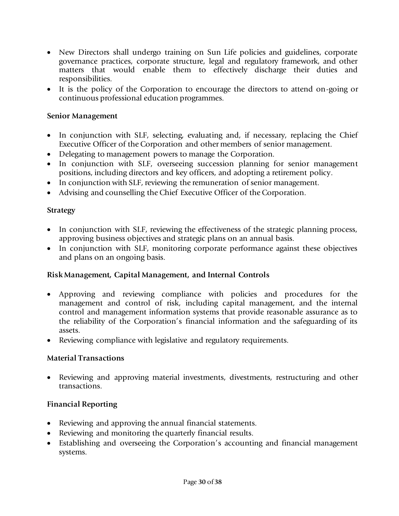- New Directors shall undergo training on Sun Life policies and guidelines, corporate governance practices, corporate structure, legal and regulatory framework, and other matters that would enable them to effectively discharge their duties and responsibilities.
- It is the policy of the Corporation to encourage the directors to attend on-going or continuous professional education programmes.

#### **Senior Management**

- In conjunction with SLF, selecting, evaluating and, if necessary, replacing the Chief Executive Officer of the Corporation and other members of senior management.
- Delegating to management powers to manage the Corporation.
- In conjunction with SLF, overseeing succession planning for senior management positions, including directors and key officers, and adopting a retirement policy.
- In conjunction with SLF, reviewing the remuneration of senior management.
- Advising and counselling the Chief Executive Officer of the Corporation.

### **Strategy**

- In conjunction with SLF, reviewing the effectiveness of the strategic planning process, approving business objectives and strategic plans on an annual basis.
- In conjunction with SLF, monitoring corporate performance against these objectives and plans on an ongoing basis.

### **Risk Management, Capital Management, and Internal Controls**

- Approving and reviewing compliance with policies and procedures for the management and control of risk, including capital management, and the internal control and management information systems that provide reasonable assurance as to the reliability of the Corporation's financial information and the safeguarding of its assets.
- Reviewing compliance with legislative and regulatory requirements.

### **Material Transactions**

• Reviewing and approving material investments, divestments, restructuring and other transactions.

### **Financial Reporting**

- Reviewing and approving the annual financial statements.
- Reviewing and monitoring the quarterly financial results.
- Establishing and overseeing the Corporation's accounting and financial management systems.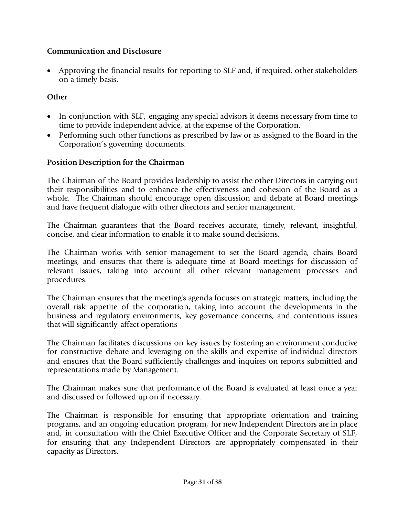### **Communication and Disclosure**

• Approving the financial results for reporting to SLF and, if required, other stakeholders on a timely basis.

## **Other**

- In conjunction with SLF, engaging any special advisors it deems necessary from time to time to provide independent advice, at the expense of the Corporation.
- Performing such other functions as prescribed by law or as assigned to the Board in the Corporation's governing documents.

## **Position Description for the Chairman**

The Chairman of the Board provides leadership to assist the other Directors in carrying out their responsibilities and to enhance the effectiveness and cohesion of the Board as a whole. The Chairman should encourage open discussion and debate at Board meetings and have frequent dialogue with other directors and senior management.

The Chairman guarantees that the Board receives accurate, timely, relevant, insightful, concise, and clear information to enable it to make sound decisions.

The Chairman works with senior management to set the Board agenda, chairs Board meetings, and ensures that there is adequate time at Board meetings for discussion of relevant issues, taking into account all other relevant management processes and procedures.

The Chairman ensures that the meeting's agenda focuses on strategic matters, including the overall risk appetite of the corporation, taking into account the developments in the business and regulatory environments, key governance concerns, and contentious issues that will significantly affect operations

The Chairman facilitates discussions on key issues by fostering an environment conducive for constructive debate and leveraging on the skills and expertise of individual directors and ensures that the Board sufficiently challenges and inquires on reports submitted and representations made by Management.

The Chairman makes sure that performance of the Board is evaluated at least once a year and discussed or followed up on if necessary.

The Chairman is responsible for ensuring that appropriate orientation and training programs, and an ongoing education program, for new Independent Directors are in place and, in consultation with the Chief Executive Officer and the Corporate Secretary of SLF, for ensuring that any Independent Directors are appropriately compensated in their capacity as Directors.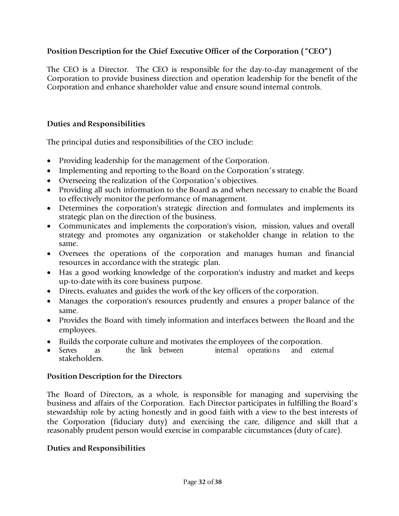## **Position Description for the Chief Executive Officer of the Corporation ("CEO")**

The CEO is a Director. The CEO is responsible for the day-to-day management of the Corporation to provide business direction and operation leadership for the benefit of the Corporation and enhance shareholder value and ensure sound internal controls.

### **Duties and Responsibilities**

The principal duties and responsibilities of the CEO include:

- Providing leadership for the management of the Corporation.
- Implementing and reporting to the Board on the Corporation's strategy.
- Overseeing the realization of the Corporation's objectives.
- Providing all such information to the Board as and when necessary to enable the Board to effectively monitor the performance of management.
- Determines the corporation's strategic direction and formulates and implements its strategic plan on the direction of the business.
- Communicates and implements the corporation's vision, mission, values and overall strategy and promotes any organization or stakeholder change in relation to the same.
- Oversees the operations of the corporation and manages human and financial resources in accordance with the strategic plan.
- Has a good working knowledge of the corporation's industry and market and keeps up-to-date with its core business purpose.
- Directs, evaluates and guides the work of the key officers of the corporation.
- Manages the corporation's resources prudently and ensures a proper balance of the same.
- Provides the Board with timely information and interfaces between the Board and the employees.
- Builds the corporate culture and motivates the employees of the corporation.
- Serves as the link between internal operations and external stakeholders.

### **Position Description for the Directors**

The Board of Directors, as a whole, is responsible for managing and supervising the business and affairs of the Corporation. Each Director participates in fulfilling the Board's stewardship role by acting honestly and in good faith with a view to the best interests of the Corporation (fiduciary duty) and exercising the care, diligence and skill that a reasonably prudent person would exercise in comparable circumstances (duty of care).

### **Duties and Responsibilities**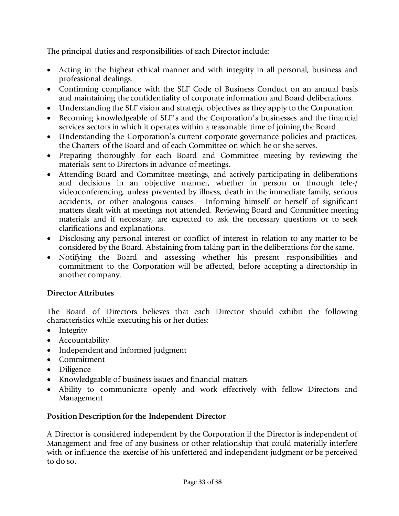The principal duties and responsibilities of each Director include:

- Acting in the highest ethical manner and with integrity in all personal, business and professional dealings.
- Confirming compliance with the SLF Code of Business Conduct on an annual basis and maintaining the confidentiality of corporate information and Board deliberations.
- Understanding the SLF vision and strategic objectives as they apply to the Corporation.
- Becoming knowledgeable of SLF's and the Corporation's businesses and the financial services sectors in which it operates within a reasonable time of joining the Board.
- Understanding the Corporation's current corporate governance policies and practices, the Charters of the Board and of each Committee on which he or she serves.
- Preparing thoroughly for each Board and Committee meeting by reviewing the materials sent to Directors in advance of meetings.
- Attending Board and Committee meetings, and actively participating in deliberations and decisions in an objective manner, whether in person or through tele-/ videoconferencing, unless prevented by illness, death in the immediate family, serious accidents, or other analogous causes. Informing himself or herself of significant matters dealt with at meetings not attended. Reviewing Board and Committee meeting materials and if necessary, are expected to ask the necessary questions or to seek clarifications and explanations.
- Disclosing any personal interest or conflict of interest in relation to any matter to be considered by the Board. Abstaining from taking part in the deliberations for the same.
- Notifying the Board and assessing whether his present responsibilities and commitment to the Corporation will be affected, before accepting a directorship in another company.

## **Director Attributes**

The Board of Directors believes that each Director should exhibit the following characteristics while executing his or her duties:

- Integrity
- Accountability
- Independent and informed judgment
- Commitment
- Diligence
- Knowledgeable of business issues and financial matters
- Ability to communicate openly and work effectively with fellow Directors and Management

## **Position Description for the Independent Director**

A Director is considered independent by the Corporation if the Director is independent of Management and free of any business or other relationship that could materially interfere with or influence the exercise of his unfettered and independent judgment or be perceived to do so.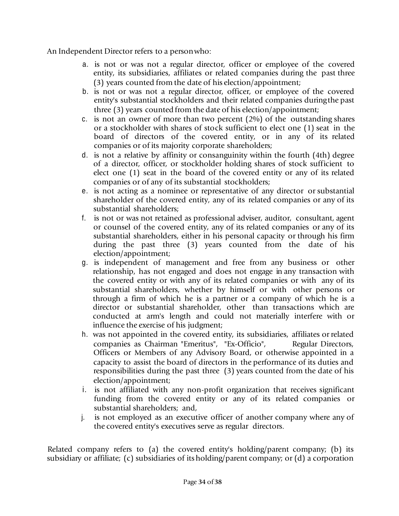An Independent Director refers to a personwho:

- a. is not or was not a regular director, officer or employee of the covered entity, its subsidiaries, affiliates or related companies during the past three (3) years counted from the date of his election/appointment;
- b. is not or was not a regular director, officer, or employee of the covered entity's substantial stockholders and their related companies duringthe past three (3) years counted from the date of his election/appointment;
- c. is not an owner of more than two percent (2%) of the outstanding shares or a stockholder with shares of stock sufficient to elect one (1) seat in the board of directors of the covered entity, or in any of its related companies or of its majority corporate shareholders;
- d. is not a relative by affinity or consanguinity within the fourth (4th) degree of a director, officer, or stockholder holding shares of stock sufficient to elect one (1) seat in the board of the covered entity or any of its related companies or of any of its substantial stockholders;
- e. is not acting as a nominee or representative of any director or substantial shareholder of the covered entity, any of its related companies or any of its substantial shareholders;
- f. is not or was not retained as professional adviser, auditor, consultant, agent or counsel of the covered entity, any of its related companies or any of its substantial shareholders, either in his personal capacity or through his firm during the past three (3) years counted from the date of his election/appointment;
- g. is independent of management and free from any business or other relationship, has not engaged and does not engage in any transaction with the covered entity or with any of its related companies or with any of its substantial shareholders, whether by himself or with other persons or through a firm of which he is a partner or a company of which he is a director or substantial shareholder, other than transactions which are conducted at arm's length and could not materially interfere with or influence the exercise of his judgment;
- h. was not appointed in the covered entity, its subsidiaries, affiliates orrelated companies as Chairman "Emeritus", "Ex-Officio", Regular Directors, Officers or Members of any Advisory Board, or otherwise appointed in a capacity to assist the board of directors in the performance of its duties and responsibilities during the past three (3) years counted from the date of his election/appointment;
- i. is not affiliated with any non-profit organization that receives significant funding from the covered entity or any of its related companies or substantial shareholders; and,
- j. is not employed as an executive officer of another company where any of the covered entity's executives serve as regular directors.

Related company refers to (a) the covered entity's holding/parent company; (b) its subsidiary or affiliate; (c) subsidiaries of its holding/parent company; or (d) a corporation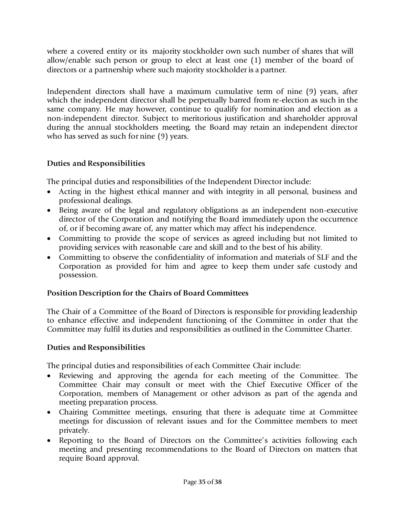where a covered entity or its majority stockholder own such number of shares that will allow/enable such person or group to elect at least one (1) member of the board of directors or a partnership where such majority stockholder is a partner.

Independent directors shall have a maximum cumulative term of nine (9) years, after which the independent director shall be perpetually barred from re-election as such in the same company. He may however, continue to qualify for nomination and election as a non-independent director. Subject to meritorious justification and shareholder approval during the annual stockholders meeting, the Board may retain an independent director who has served as such for nine (9) years.

## **Duties and Responsibilities**

The principal duties and responsibilities of the Independent Director include:

- Acting in the highest ethical manner and with integrity in all personal, business and professional dealings.
- Being aware of the legal and regulatory obligations as an independent non-executive director of the Corporation and notifying the Board immediately upon the occurrence of, or if becoming aware of, any matter which may affect his independence.
- Committing to provide the scope of services as agreed including but not limited to providing services with reasonable care and skill and to the best of his ability.
- Committing to observe the confidentiality of information and materials of SLF and the Corporation as provided for him and agree to keep them under safe custody and possession.

### **Position Description for the Chairs of Board Committees**

The Chair of a Committee of the Board of Directors is responsible for providing leadership to enhance effective and independent functioning of the Committee in order that the Committee may fulfil its duties and responsibilities as outlined in the Committee Charter.

### **Duties and Responsibilities**

The principal duties and responsibilities of each Committee Chair include:

- Reviewing and approving the agenda for each meeting of the Committee. The Committee Chair may consult or meet with the Chief Executive Officer of the Corporation, members of Management or other advisors as part of the agenda and meeting preparation process.
- Chairing Committee meetings, ensuring that there is adequate time at Committee meetings for discussion of relevant issues and for the Committee members to meet privately.
- Reporting to the Board of Directors on the Committee's activities following each meeting and presenting recommendations to the Board of Directors on matters that require Board approval.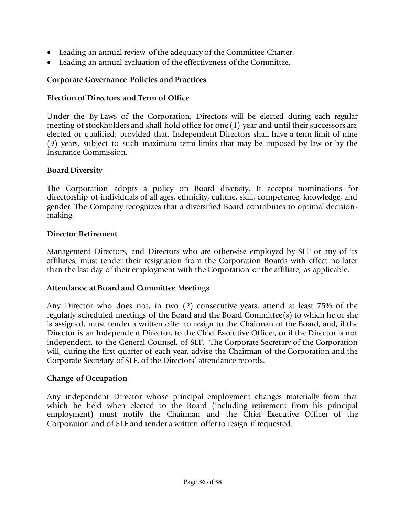- Leading an annual review of the adequacy of the Committee Charter.
- Leading an annual evaluation of the effectiveness of the Committee.

#### **Corporate Governance Policies and Practices**

#### **Election of Directors and Term of Office**

Under the By-Laws of the Corporation, Directors will be elected during each regular meeting of stockholders and shall hold office for one (1) year and until their successors are elected or qualified; provided that, Independent Directors shall have a term limit of nine (9) years, subject to such maximum term limits that may be imposed by law or by the Insurance Commission.

#### **Board Diversity**

The Corporation adopts a policy on Board diversity. It accepts nominations for directorship of individuals of all ages, ethnicity, culture, skill, competence, knowledge, and gender. The Company recognizes that a diversified Board contributes to optimal decisionmaking.

#### **Director Retirement**

Management Directors, and Directors who are otherwise employed by SLF or any of its affiliates, must tender their resignation from the Corporation Boards with effect no later than the last day of their employment with the Corporation or the affiliate, as applicable.

#### **Attendance at Board and Committee Meetings**

Any Director who does not, in two (2) consecutive years, attend at least 75% of the regularly scheduled meetings of the Board and the Board Committee(s) to which he or she is assigned, must tender a written offer to resign to the Chairman of the Board, and, if the Director is an Independent Director, to the Chief Executive Officer, or if the Director is not independent*,* to the General Counsel, of SLF*.* The Corporate Secretary of the Corporation will, during the first quarter of each year, advise the Chairman of the Corporation and the Corporate Secretary of SLF, of the Directors' attendance records.

#### **Change of Occupation**

Any independent Director whose principal employment changes materially from that which he held when elected to the Board (including retirement from his principal employment) must notify the Chairman and the Chief Executive Officer of the Corporation and of SLF and tender a written offer to resign if requested.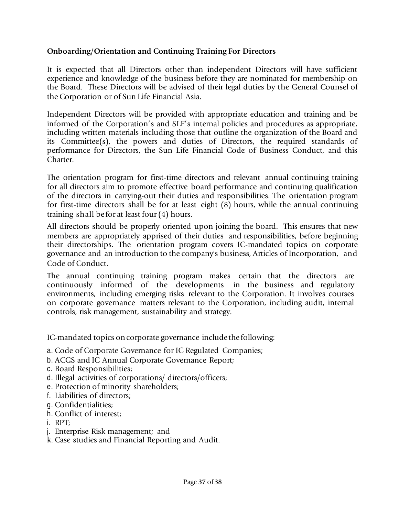### **Onboarding/Orientation and Continuing Training For Directors**

It is expected that all Directors other than independent Directors will have sufficient experience and knowledge of the business before they are nominated for membership on the Board. These Directors will be advised of their legal duties by the General Counsel of the Corporation or of Sun Life Financial Asia.

Independent Directors will be provided with appropriate education and training and be informed of the Corporation's and SLF's internal policies and procedures as appropriate, including written materials including those that outline the organization of the Board and its Committee(s), the powers and duties of Directors, the required standards of performance for Directors, the Sun Life Financial Code of Business Conduct, and this Charter.

The orientation program for first-time directors and relevant annual continuing training for all directors aim to promote effective board performance and continuing qualification of the directors in carrying-out their duties and responsibilities. The orientation program for first-time directors shall be for at least eight (8) hours, while the annual continuing training shall be for at least four (4) hours.

All directors should be properly oriented upon joining the board. This ensures that new members are appropriately apprised of their duties and responsibilities, before beginning their directorships. The orientation program covers IC-mandated topics on corporate governance and an introduction to the company's business, Articles of Incorporation, and Code of Conduct.

The annual continuing training program makes certain that the directors are continuously informed of the developments in the business and regulatory environments, including emerging risks relevant to the Corporation. It involves courses on corporate governance matters relevant to the Corporation, including audit, internal controls, risk management, sustainability and strategy.

IC-mandated topics on corporate governance include the following:

- a. Code of Corporate Governance for IC Regulated Companies;
- b. ACGS and IC Annual Corporate Governance Report;
- c. Board Responsibilities;
- d. Illegal activities of corporations/ directors/officers;
- e. Protection of minority shareholders;
- f. Liabilities of directors;
- g. Confidentialities;
- h. Conflict of interest;
- i. RPT;
- j. Enterprise Risk management; and
- k. Case studies and Financial Reporting and Audit.